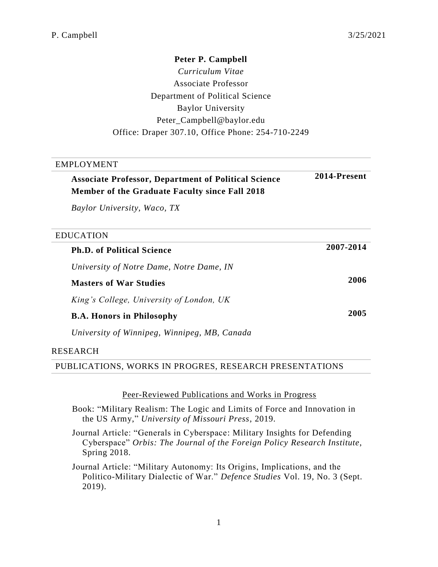**2014-Present**

## **Peter P. Campbell**

*Curriculum Vitae* Associate Professor Department of Political Science Baylor University Peter\_Campbell@baylor.edu Office: Draper 307.10, Office Phone: 254-710-2249

# **Associate Professor, Department of Political Science Member of the Graduate Faculty since Fall 2018**

*Baylor University, Waco, TX*

## EDUCATION

**Ph.D. of Political Science 2007-2014** *University of Notre Dame, Notre Dame, IN* **Masters of War Studies 2006** *King's College, University of London, UK* **B.A. Honors in Philosophy 2005** *University of Winnipeg, Winnipeg, MB, Canada*

# RESEARCH

PUBLICATIONS, WORKS IN PROGRES, RESEARCH PRESENTATIONS

#### Peer-Reviewed Publications and Works in Progress

Book: "Military Realism: The Logic and Limits of Force and Innovation in the US Army," *University of Missouri Press*, 2019.

Journal Article: "Generals in Cyberspace: Military Insights for Defending Cyberspace" *Orbis: The Journal of the Foreign Policy Research Institute*, Spring 2018.

Journal Article: "Military Autonomy: Its Origins, Implications, and the Politico-Military Dialectic of War." *Defence Studies* Vol. 19, No. 3 (Sept. 2019).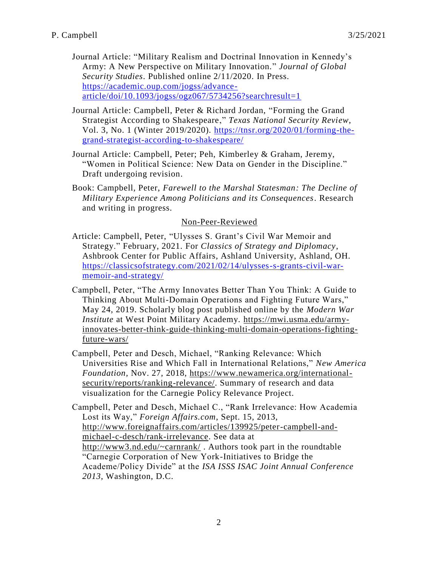- Journal Article: "Military Realism and Doctrinal Innovation in Kennedy's Army: A New Perspective on Military Innovation." *Journal of Global Security Studies*. Published online 2/11/2020. In Press. [https://academic.oup.com/jogss/advance](https://academic.oup.com/jogss/advance-article/doi/10.1093/jogss/ogz067/5734256?searchresult=1) $article/doi/10.1093/jogss/ogz067/5734256?searchresult=1$
- Journal Article: Campbell, Peter & Richard Jordan, "Forming the Grand Strategist According to Shakespeare," *Texas National Security Review*, Vol. 3, No. 1 (Winter 2019/2020). [https://tnsr.org/2020/01/forming-the](https://tnsr.org/2020/01/forming-the-grand-strategist-according-to-shakespeare/)[grand-strategist-according-to-shakespeare/](https://tnsr.org/2020/01/forming-the-grand-strategist-according-to-shakespeare/)
- Journal Article: Campbell, Peter; Peh, Kimberley & Graham, Jeremy, "Women in Political Science: New Data on Gender in the Discipline." Draft undergoing revision.
- Book: Campbell, Peter, *Farewell to the Marshal Statesman: The Decline of Military Experience Among Politicians and its Consequences*. Research and writing in progress.

# Non-Peer-Reviewed

- Article: Campbell, Peter, "Ulysses S. Grant's Civil War Memoir and Strategy." February, 2021. For *Classics of Strategy and Diplomacy*, Ashbrook Center for Public Affairs, Ashland University, Ashland, OH. [https://classicsofstrategy.com/2021/02/14/ulysses-s-grants-civil-war](https://classicsofstrategy.com/2021/02/14/ulysses-s-grants-civil-war-memoir-and-strategy/)[memoir-and-strategy/](https://classicsofstrategy.com/2021/02/14/ulysses-s-grants-civil-war-memoir-and-strategy/)
- Campbell, Peter, "The Army Innovates Better Than You Think: A Guide to Thinking About Multi-Domain Operations and Fighting Future Wars," May 24, 2019. Scholarly blog post published online by the *Modern War Institute* at West Point Military Academy. [https://mwi.usma.edu/army](https://mwi.usma.edu/army-innovates-better-think-guide-thinking-multi-domain-operations-fighting-future-wars/)[innovates-better-think-guide-thinking-multi-domain-operations-fighting](https://mwi.usma.edu/army-innovates-better-think-guide-thinking-multi-domain-operations-fighting-future-wars/)[future-wars/](https://mwi.usma.edu/army-innovates-better-think-guide-thinking-multi-domain-operations-fighting-future-wars/)
- Campbell, Peter and Desch, Michael, "Ranking Relevance: Which Universities Rise and Which Fall in International Relations," *New America Foundation*, Nov. 27, 2018, [https://www.newamerica.org/international](https://www.newamerica.org/international-security/reports/ranking-relevance/)[security/reports/ranking-relevance/.](https://www.newamerica.org/international-security/reports/ranking-relevance/) Summary of research and data visualization for the Carnegie Policy Relevance Project.
- Campbell, Peter and Desch, Michael C., "Rank Irrelevance: How Academia Lost its Way," *Foreign Affairs.com*, Sept. 15, 2013, [http://www.foreignaffairs.com/articles/139925/peter-campbell-and](http://www.foreignaffairs.com/articles/139925/peter-campbell-and-michael-c-desch/rank-irrelevance)[michael-c-desch/rank-irrelevance.](http://www.foreignaffairs.com/articles/139925/peter-campbell-and-michael-c-desch/rank-irrelevance) See data at <http://www3.nd.edu/~carnrank/> . Authors took part in the roundtable "Carnegie Corporation of New York-Initiatives to Bridge the Academe/Policy Divide" at the *ISA ISSS ISAC Joint Annual Conference 2013*, Washington, D.C.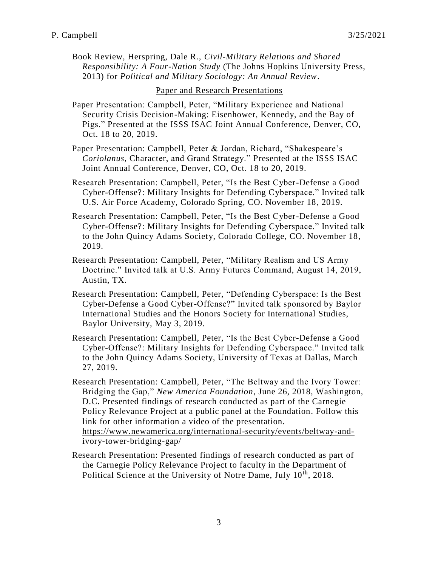Book Review, Herspring, Dale R., *Civil-Military Relations and Shared Responsibility: A Four-Nation Study* (The Johns Hopkins University Press, 2013) for *Political and Military Sociology: An Annual Review*.

#### Paper and Research Presentations

- Paper Presentation: Campbell, Peter, "Military Experience and National Security Crisis Decision-Making: Eisenhower, Kennedy, and the Bay of Pigs." Presented at the ISSS ISAC Joint Annual Conference, Denver, CO, Oct. 18 to 20, 2019.
- Paper Presentation: Campbell, Peter & Jordan, Richard, "Shakespeare's *Coriolanus*, Character, and Grand Strategy." Presented at the ISSS ISAC Joint Annual Conference, Denver, CO, Oct. 18 to 20, 2019.
- Research Presentation: Campbell, Peter, "Is the Best Cyber-Defense a Good Cyber-Offense?: Military Insights for Defending Cyberspace." Invited talk U.S. Air Force Academy, Colorado Spring, CO. November 18, 2019.
- Research Presentation: Campbell, Peter, "Is the Best Cyber-Defense a Good Cyber-Offense?: Military Insights for Defending Cyberspace." Invited talk to the John Quincy Adams Society, Colorado College, CO. November 18, 2019.
- Research Presentation: Campbell, Peter, "Military Realism and US Army Doctrine." Invited talk at U.S. Army Futures Command, August 14, 2019, Austin, TX.
- Research Presentation: Campbell, Peter, "Defending Cyberspace: Is the Best Cyber-Defense a Good Cyber-Offense?" Invited talk sponsored by Baylor International Studies and the Honors Society for International Studies, Baylor University, May 3, 2019.
- Research Presentation: Campbell, Peter, "Is the Best Cyber-Defense a Good Cyber-Offense?: Military Insights for Defending Cyberspace." Invited talk to the John Quincy Adams Society, University of Texas at Dallas, March 27, 2019.
- Research Presentation: Campbell, Peter, "The Beltway and the Ivory Tower: Bridging the Gap," *New America Foundation*, June 26, 2018, Washington, D.C. Presented findings of research conducted as part of the Carnegie Policy Relevance Project at a public panel at the Foundation. Follow this link for other information a video of the presentation. [https://www.newamerica.org/international-security/events/beltway-and](https://www.newamerica.org/international-security/events/beltway-and-ivory-tower-bridging-gap/)[ivory-tower-bridging-gap/](https://www.newamerica.org/international-security/events/beltway-and-ivory-tower-bridging-gap/)
- Research Presentation: Presented findings of research conducted as part of the Carnegie Policy Relevance Project to faculty in the Department of Political Science at the University of Notre Dame, July 10<sup>th</sup>, 2018.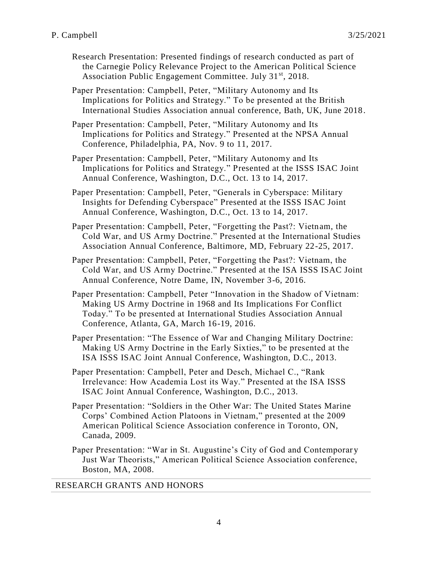Research Presentation: Presented findings of research conducted as part of the Carnegie Policy Relevance Project to the American Political Science Association Public Engagement Committee. July 31<sup>st</sup>, 2018.

Paper Presentation: Campbell, Peter, "Military Autonomy and Its Implications for Politics and Strategy." To be presented at the British International Studies Association annual conference, Bath, UK, June 2018.

Paper Presentation: Campbell, Peter, "Military Autonomy and Its Implications for Politics and Strategy." Presented at the NPSA Annual Conference, Philadelphia, PA, Nov. 9 to 11, 2017.

Paper Presentation: Campbell, Peter, "Military Autonomy and Its Implications for Politics and Strategy." Presented at the ISSS ISAC Joint Annual Conference, Washington, D.C., Oct. 13 to 14, 2017.

Paper Presentation: Campbell, Peter, "Generals in Cyberspace: Military Insights for Defending Cyberspace" Presented at the ISSS ISAC Joint Annual Conference, Washington, D.C., Oct. 13 to 14, 2017.

Paper Presentation: Campbell, Peter, "Forgetting the Past?: Vietnam, the Cold War, and US Army Doctrine." Presented at the International Studies Association Annual Conference, Baltimore, MD, February 22-25, 2017.

Paper Presentation: Campbell, Peter, "Forgetting the Past?: Vietnam, the Cold War, and US Army Doctrine." Presented at the ISA ISSS ISAC Joint Annual Conference, Notre Dame, IN, November 3-6, 2016.

Paper Presentation: Campbell, Peter "Innovation in the Shadow of Vietnam: Making US Army Doctrine in 1968 and Its Implications For Conflict Today." To be presented at International Studies Association Annual Conference, Atlanta, GA, March 16-19, 2016.

Paper Presentation: "The Essence of War and Changing Military Doctrine: Making US Army Doctrine in the Early Sixties," to be presented at the ISA ISSS ISAC Joint Annual Conference, Washington, D.C., 2013.

Paper Presentation: Campbell, Peter and Desch, Michael C., "Rank Irrelevance: How Academia Lost its Way." Presented at the ISA ISSS ISAC Joint Annual Conference, Washington, D.C., 2013.

Paper Presentation: "Soldiers in the Other War: The United States Marine Corps' Combined Action Platoons in Vietnam," presented at the 2009 American Political Science Association conference in Toronto, ON, Canada, 2009.

Paper Presentation: "War in St. Augustine's City of God and Contemporar y Just War Theorists," American Political Science Association conference, Boston, MA, 2008.

#### RESEARCH GRANTS AND HONORS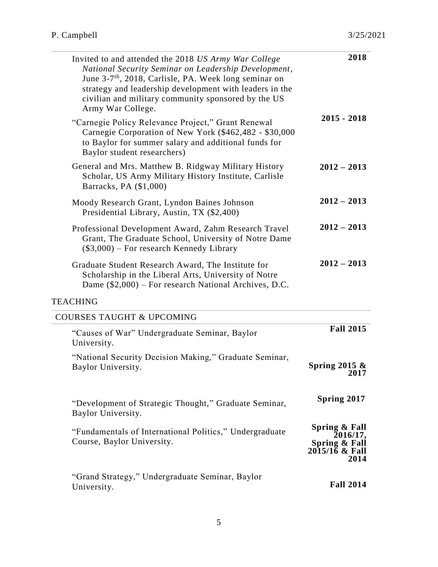| Invited to and attended the 2018 US Army War College<br>National Security Seminar on Leadership Development,<br>June 3-7 <sup>th</sup> , 2018, Carlisle, PA. Week long seminar on<br>strategy and leadership development with leaders in the<br>civilian and military community sponsored by the US<br>Army War College. | 2018                                                                 |
|--------------------------------------------------------------------------------------------------------------------------------------------------------------------------------------------------------------------------------------------------------------------------------------------------------------------------|----------------------------------------------------------------------|
| "Carnegie Policy Relevance Project," Grant Renewal<br>Carnegie Corporation of New York (\$462,482 - \$30,000<br>to Baylor for summer salary and additional funds for<br>Baylor student researchers)                                                                                                                      | $2015 - 2018$                                                        |
| General and Mrs. Matthew B. Ridgway Military History<br>Scholar, US Army Military History Institute, Carlisle<br>Barracks, PA (\$1,000)                                                                                                                                                                                  | $2012 - 2013$                                                        |
| Moody Research Grant, Lyndon Baines Johnson<br>Presidential Library, Austin, TX (\$2,400)                                                                                                                                                                                                                                | $2012 - 2013$                                                        |
| Professional Development Award, Zahm Research Travel<br>Grant, The Graduate School, University of Notre Dame<br>$(\$3,000)$ – For research Kennedy Library                                                                                                                                                               | $2012 - 2013$                                                        |
| Graduate Student Research Award, The Institute for<br>Scholarship in the Liberal Arts, University of Notre<br>Dame (\$2,000) – For research National Archives, D.C.                                                                                                                                                      | $2012 - 2013$                                                        |
| <b>TEACHING</b>                                                                                                                                                                                                                                                                                                          |                                                                      |
| <b>COURSES TAUGHT &amp; UPCOMING</b>                                                                                                                                                                                                                                                                                     |                                                                      |
| "Causes of War" Undergraduate Seminar, Baylor<br>University.                                                                                                                                                                                                                                                             | <b>Fall 2015</b>                                                     |
| "National Security Decision Making," Graduate Seminar,<br>Baylor University.                                                                                                                                                                                                                                             | Spring 2015 $\&$<br>2017                                             |
| "Development of Strategic Thought," Graduate Seminar,<br>Baylor University.                                                                                                                                                                                                                                              | Spring 2017                                                          |
| "Fundamentals of International Politics," Undergraduate<br>Course, Baylor University.                                                                                                                                                                                                                                    | Spring & Fall<br>2016/17,<br>Spring & Fall<br>2015/16 & Fall<br>2014 |
| "Grand Strategy," Undergraduate Seminar, Baylor<br>University.                                                                                                                                                                                                                                                           | <b>Fall 2014</b>                                                     |